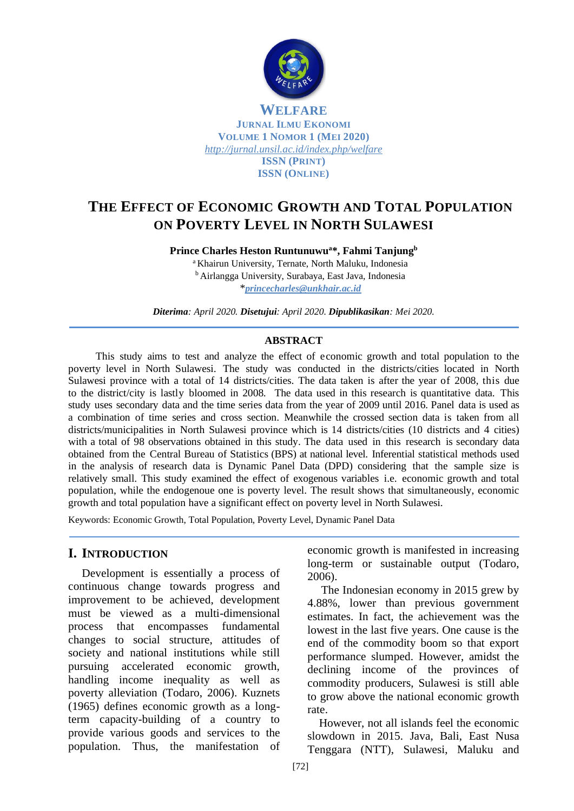

# **THE EFFECT OF ECONOMIC GROWTH AND TOTAL POPULATION ON POVERTY LEVEL IN NORTH SULAWESI**

**Prince Charles Heston Runtunuwu<sup>a</sup>\*, Fahmi Tanjung<sup>b</sup>**

<sup>a</sup> Khairun University, Ternate, North Maluku, Indonesia <sup>b</sup> Airlangga University, Surabaya, East Java, Indonesia \**[princecharles@unkhair.ac.id](mailto:princecharles@unkhair.ac.id)*

*Diterima: April 2020. Disetujui: April 2020. Dipublikasikan: Mei 2020.*

#### **ABSTRACT**

This study aims to test and analyze the effect of economic growth and total population to the poverty level in North Sulawesi. The study was conducted in the districts/cities located in North Sulawesi province with a total of 14 districts/cities. The data taken is after the year of 2008, this due to the district/city is lastly bloomed in 2008. The data used in this research is quantitative data. This study uses secondary data and the time series data from the year of 2009 until 2016. Panel data is used as a combination of time series and cross section. Meanwhile the crossed section data is taken from all districts/municipalities in North Sulawesi province which is 14 districts/cities (10 districts and 4 cities) with a total of 98 observations obtained in this study. The data used in this research is secondary data obtained from the Central Bureau of Statistics (BPS) at national level. Inferential statistical methods used in the analysis of research data is Dynamic Panel Data (DPD) considering that the sample size is relatively small. This study examined the effect of exogenous variables i.e. economic growth and total population, while the endogenoue one is poverty level. The result shows that simultaneously, economic growth and total population have a significant effect on poverty level in North Sulawesi.

Keywords: Economic Growth, Total Population, Poverty Level, Dynamic Panel Data

#### **I. INTRODUCTION**

Development is essentially a process of continuous change towards progress and improvement to be achieved, development must be viewed as a multi-dimensional process that encompasses fundamental changes to social structure, attitudes of society and national institutions while still pursuing accelerated economic growth, handling income inequality as well as poverty alleviation (Todaro, 2006). Kuznets (1965) defines economic growth as a longterm capacity-building of a country to provide various goods and services to the population. Thus, the manifestation of

economic growth is manifested in increasing long-term or sustainable output (Todaro, 2006).

The Indonesian economy in 2015 grew by 4.88%, lower than previous government estimates. In fact, the achievement was the lowest in the last five years. One cause is the end of the commodity boom so that export performance slumped. However, amidst the declining income of the provinces of commodity producers, Sulawesi is still able to grow above the national economic growth rate.

 However, not all islands feel the economic slowdown in 2015. Java, Bali, East Nusa Tenggara (NTT), Sulawesi, Maluku and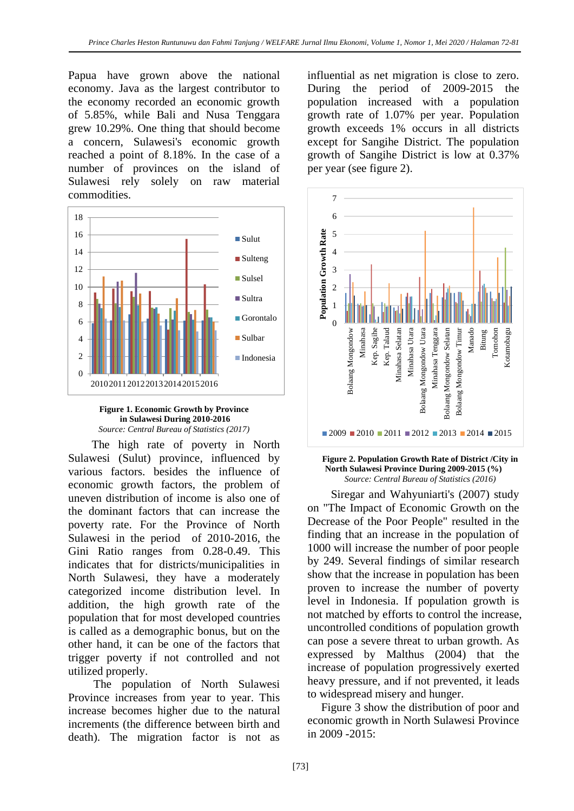Papua have grown above the national economy. Java as the largest contributor to the economy recorded an economic growth of 5.85%, while Bali and Nusa Tenggara grew 10.29%. One thing that should become a concern, Sulawesi's economic growth reached a point of 8.18%. In the case of a number of provinces on the island of Sulawesi rely solely on raw material commodities.





 The high rate of poverty in North Sulawesi (Sulut) province, influenced by various factors. besides the influence of economic growth factors, the problem of uneven distribution of income is also one of the dominant factors that can increase the poverty rate. For the Province of North Sulawesi in the period of 2010-2016, the Gini Ratio ranges from 0.28-0.49. This indicates that for districts/municipalities in North Sulawesi, they have a moderately categorized income distribution level. In addition, the high growth rate of the population that for most developed countries is called as a demographic bonus, but on the other hand, it can be one of the factors that trigger poverty if not controlled and not utilized properly.

 The population of North Sulawesi Province increases from year to year. This increase becomes higher due to the natural increments (the difference between birth and death). The migration factor is not as

influential as net migration is close to zero. During the period of 2009-2015 the population increased with a population growth rate of 1.07% per year. Population growth exceeds 1% occurs in all districts except for Sangihe District. The population growth of Sangihe District is low at 0.37% per year (see figure 2).



**Figure 2. Population Growth Rate of District /City in North Sulawesi Province During 2009-2015 (%)** *Source: Central Bureau of Statistics (2016)*

 Siregar and Wahyuniarti's (2007) study on "The Impact of Economic Growth on the Decrease of the Poor People" resulted in the finding that an increase in the population of 1000 will increase the number of poor people by 249. Several findings of similar research show that the increase in population has been proven to increase the number of poverty level in Indonesia. If population growth is not matched by efforts to control the increase, uncontrolled conditions of population growth can pose a severe threat to urban growth. As expressed by Malthus (2004) that the increase of population progressively exerted heavy pressure, and if not prevented, it leads to widespread misery and hunger.

Figure 3 show the distribution of poor and economic growth in North Sulawesi Province in 2009 -2015: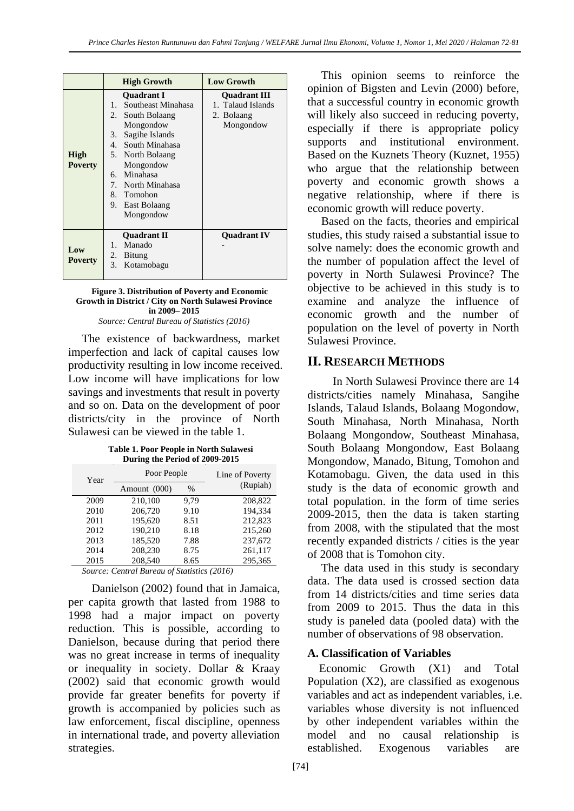|                        | <b>High Growth</b>                                                                                                                                                                                                                                      | <b>Low Growth</b>                                                   |  |
|------------------------|---------------------------------------------------------------------------------------------------------------------------------------------------------------------------------------------------------------------------------------------------------|---------------------------------------------------------------------|--|
| High<br><b>Poverty</b> | <b>Ouadrant I</b><br>Southeast Minahasa<br>1.<br>2.<br>South Bolaang<br>Mongondow<br>Sagihe Islands<br>3.<br>4. South Minahasa<br>5. North Bolaang<br>Mongondow<br>Minahasa<br>б.<br>7. North Minahasa<br>8. Tomohon<br>9.<br>East Bolaang<br>Mongondow | <b>Ouadrant III</b><br>1. Talaud Islands<br>2. Bolaang<br>Mongondow |  |
| Low<br><b>Poverty</b>  | <b>Ouadrant II</b><br>Manado<br>1.<br>2. Bitung<br>3.<br>Kotamobagu                                                                                                                                                                                     | <b>Ouadrant IV</b>                                                  |  |

#### **Figure 3. Distribution of Poverty and Economic Growth in District / City on North Sulawesi Province in 2009– 2015**

*Source: Central Bureau of Statistics (2016)*

The existence of backwardness, market imperfection and lack of capital causes low productivity resulting in low income received. Low income will have implications for low savings and investments that result in poverty and so on. Data on the development of poor districts/city in the province of North Sulawesi can be viewed in the table 1.

**Table 1. Poor People in North Sulawesi During the Period of 2009-2015**

| Year | Poor People  |      | Line of Poverty |  |
|------|--------------|------|-----------------|--|
|      | Amount (000) | %    | (Rupiah)        |  |
| 2009 | 210,100      | 9.79 | 208,822         |  |
| 2010 | 206,720      | 9.10 | 194.334         |  |
| 2011 | 195,620      | 8.51 | 212,823         |  |
| 2012 | 190,210      | 8.18 | 215,260         |  |
| 2013 | 185,520      | 7.88 | 237,672         |  |
| 2014 | 208,230      | 8.75 | 261,117         |  |
| 2015 | 208,540      | 8.65 | 295.365         |  |

*Source: Central Bureau of Statistics (2016)*

 Danielson (2002) found that in Jamaica, per capita growth that lasted from 1988 to 1998 had a major impact on poverty reduction. This is possible, according to Danielson, because during that period there was no great increase in terms of inequality or inequality in society. Dollar & Kraay (2002) said that economic growth would provide far greater benefits for poverty if growth is accompanied by policies such as law enforcement, fiscal discipline, openness in international trade, and poverty alleviation strategies.

This opinion seems to reinforce the opinion of Bigsten and Levin (2000) before, that a successful country in economic growth will likely also succeed in reducing poverty, especially if there is appropriate policy supports and institutional environment. Based on the Kuznets Theory (Kuznet, 1955) who argue that the relationship between poverty and economic growth shows a negative relationship, where if there is economic growth will reduce poverty.

Based on the facts, theories and empirical studies, this study raised a substantial issue to solve namely: does the economic growth and the number of population affect the level of poverty in North Sulawesi Province? The objective to be achieved in this study is to examine and analyze the influence of economic growth and the number of population on the level of poverty in North Sulawesi Province.

## **II. RESEARCH METHODS**

 In North Sulawesi Province there are 14 districts/cities namely Minahasa, Sangihe Islands, Talaud Islands, Bolaang Mogondow, South Minahasa, North Minahasa, North Bolaang Mongondow, Southeast Minahasa, South Bolaang Mongondow, East Bolaang Mongondow, Manado, Bitung, Tomohon and Kotamobagu. Given, the data used in this study is the data of economic growth and total population. in the form of time series 2009-2015, then the data is taken starting from 2008, with the stipulated that the most recently expanded districts / cities is the year of 2008 that is Tomohon city.

The data used in this study is secondary data. The data used is crossed section data from 14 districts/cities and time series data from 2009 to 2015. Thus the data in this study is paneled data (pooled data) with the number of observations of 98 observation.

#### **A. Classification of Variables**

 Economic Growth (X1) and Total Population (X2), are classified as exogenous variables and act as independent variables, i.e. variables whose diversity is not influenced by other independent variables within the model and no causal relationship is established. Exogenous variables are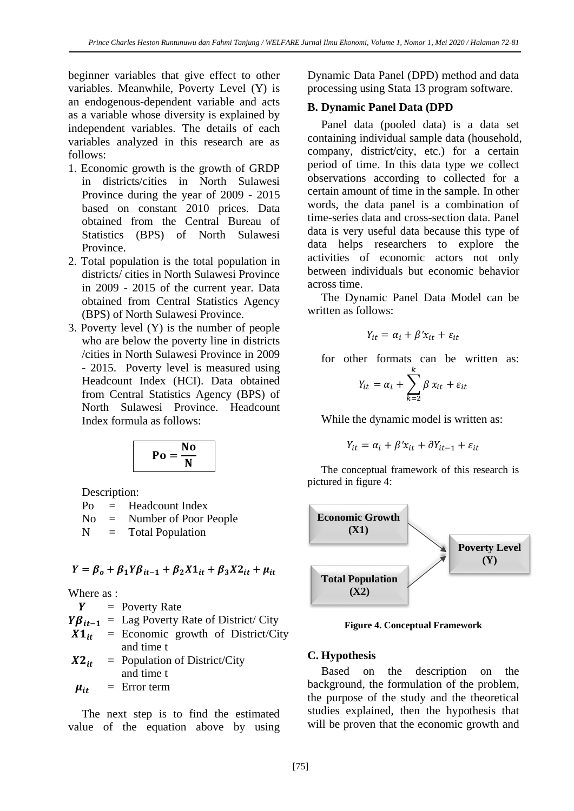beginner variables that give effect to other variables. Meanwhile, Poverty Level (Y) is an endogenous-dependent variable and acts as a variable whose diversity is explained by independent variables. The details of each variables analyzed in this research are as follows:

- 1. Economic growth is the growth of GRDP in districts/cities in North Sulawesi Province during the year of 2009 - 2015 based on constant 2010 prices. Data obtained from the Central Bureau of Statistics (BPS) of North Sulawesi Province.
- 2. Total population is the total population in districts/ cities in North Sulawesi Province in 2009 - 2015 of the current year. Data obtained from Central Statistics Agency (BPS) of North Sulawesi Province.
- 3. Poverty level (Y) is the number of people who are below the poverty line in districts /cities in North Sulawesi Province in 2009 - 2015. Poverty level is measured using Headcount Index (HCI). Data obtained from Central Statistics Agency (BPS) of North Sulawesi Province. Headcount Index formula as follows:

$$
\mathbf{Po} = \frac{\mathbf{No}}{\mathbf{N}}
$$

Description:

Po = Headcount Index

No = Number of Poor People

 $N =$  Total Population

 $Y = \beta_0 + \beta_1 Y \beta_{it-1} + \beta_2 X \mathbf{1}_{it} + \beta_3 X \mathbf{2}_{it} + \mu_{it}$ 

Where as :

 $Y = Powerty Rate$  $Y\beta_{it-1}$  = Lag Poverty Rate of District/ City  $X1_{it}$  = Economic growth of District/City and time t  $X2_{it}$  = Population of District/City and time t

 $\mu_{it}$  = Error term

The next step is to find the estimated value of the equation above by using

Dynamic Data Panel (DPD) method and data processing using Stata 13 program software.

#### **B. Dynamic Panel Data (DPD**

Panel data (pooled data) is a data set containing individual sample data (household, company, district/city, etc.) for a certain period of time. In this data type we collect observations according to collected for a certain amount of time in the sample. In other words, the data panel is a combination of time-series data and cross-section data. Panel data is very useful data because this type of data helps researchers to explore the activities of economic actors not only between individuals but economic behavior across time.

The Dynamic Panel Data Model can be written as follows:

$$
Y_{it} = \alpha_i + \beta' x_{it} + \varepsilon_{it}
$$

for other formats can be written as:

$$
Y_{it} = \alpha_i + \sum_{k=2}^{k} \beta x_{it} + \varepsilon_{it}
$$

While the dynamic model is written as:

$$
Y_{it} = \alpha_i + \beta' x_{it} + \partial Y_{it-1} + \varepsilon_{it}
$$

The conceptual framework of this research is pictured in figure 4:



**Figure 4. Conceptual Framework**

#### **C. Hypothesis**

Based on the description on the background, the formulation of the problem, the purpose of the study and the theoretical studies explained, then the hypothesis that will be proven that the economic growth and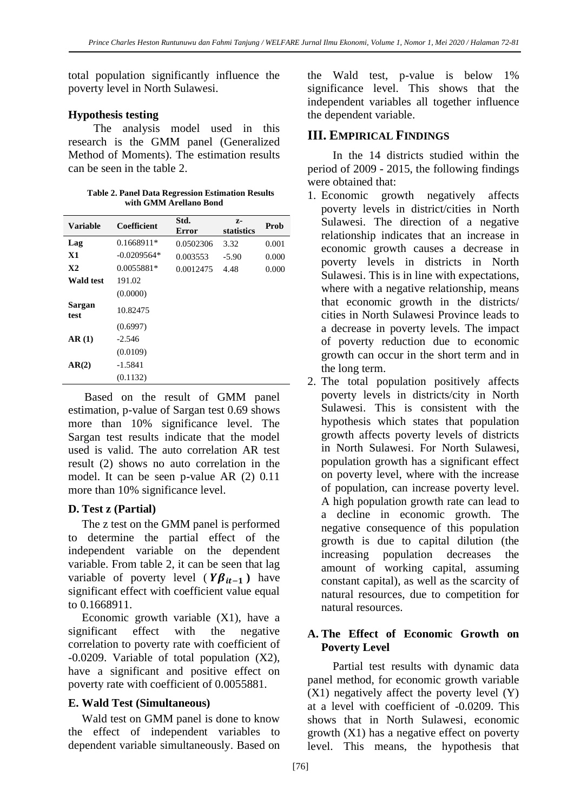total population significantly influence the poverty level in North Sulawesi.

#### **Hypothesis testing**

 The analysis model used in this research is the GMM panel (Generalized Method of Moments). The estimation results can be seen in the table 2.

| <b>Table 2. Panel Data Regression Estimation Results</b> |                        |  |
|----------------------------------------------------------|------------------------|--|
|                                                          | with GMM Arellano Bond |  |

| <b>Variable</b>  | Coefficient   | Std.<br><b>Error</b> | $Z-$<br>statistics | Prob  |
|------------------|---------------|----------------------|--------------------|-------|
| Lag              | $0.1668911*$  | 0.0502306            | 3.32               | 0.001 |
| X1               | $-0.0209564*$ | 0.003553             | $-5.90$            | 0.000 |
| X2               | 0.0055881*    | 0.0012475            | 4.48               | 0.000 |
| <b>Wald test</b> | 191.02        |                      |                    |       |
|                  | (0.0000)      |                      |                    |       |
| Sargan<br>test   | 10.82475      |                      |                    |       |
|                  | (0.6997)      |                      |                    |       |
| AR(1)            | $-2.546$      |                      |                    |       |
|                  | (0.0109)      |                      |                    |       |
| AR(2)            | $-1.5841$     |                      |                    |       |
|                  | (0.1132)      |                      |                    |       |

Based on the result of GMM panel estimation, p-value of Sargan test 0.69 shows more than 10% significance level. The Sargan test results indicate that the model used is valid. The auto correlation AR test result (2) shows no auto correlation in the model. It can be seen p-value AR (2) 0.11 more than 10% significance level.

## **D. Test z (Partial)**

The z test on the GMM panel is performed to determine the partial effect of the independent variable on the dependent variable. From table 2, it can be seen that lag variable of poverty level ( $Y\beta_{it-1}$ ) have significant effect with coefficient value equal to 0.1668911.

Economic growth variable (X1), have a significant effect with the negative correlation to poverty rate with coefficient of -0.0209. Variable of total population (X2), have a significant and positive effect on poverty rate with coefficient of 0.0055881.

## **E. Wald Test (Simultaneous)**

Wald test on GMM panel is done to know the effect of independent variables to dependent variable simultaneously. Based on

the Wald test, p-value is below 1% significance level. This shows that the independent variables all together influence the dependent variable.

# **III. EMPIRICAL FINDINGS**

 In the 14 districts studied within the period of 2009 - 2015, the following findings were obtained that:

- 1. Economic growth negatively affects poverty levels in district/cities in North Sulawesi. The direction of a negative relationship indicates that an increase in economic growth causes a decrease in poverty levels in districts in North Sulawesi. This is in line with expectations, where with a negative relationship, means that economic growth in the districts/ cities in North Sulawesi Province leads to a decrease in poverty levels. The impact of poverty reduction due to economic growth can occur in the short term and in the long term.
- 2. The total population positively affects poverty levels in districts/city in North Sulawesi. This is consistent with the hypothesis which states that population growth affects poverty levels of districts in North Sulawesi. For North Sulawesi, population growth has a significant effect on poverty level, where with the increase of population, can increase poverty level. A high population growth rate can lead to a decline in economic growth. The negative consequence of this population growth is due to capital dilution (the increasing population decreases the amount of working capital, assuming constant capital), as well as the scarcity of natural resources, due to competition for natural resources.

#### **A. The Effect of Economic Growth on Poverty Level**

 Partial test results with dynamic data panel method, for economic growth variable  $(X1)$  negatively affect the poverty level  $(Y)$ at a level with coefficient of -0.0209. This shows that in North Sulawesi, economic growth (X1) has a negative effect on poverty level. This means, the hypothesis that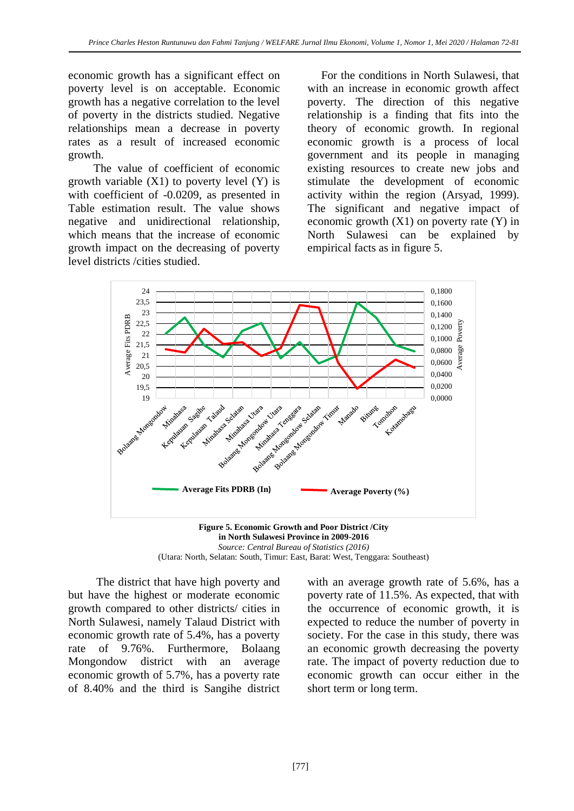economic growth has a significant effect on poverty level is on acceptable. Economic growth has a negative correlation to the level of poverty in the districts studied. Negative relationships mean a decrease in poverty rates as a result of increased economic growth.

 The value of coefficient of economic growth variable  $(X1)$  to poverty level  $(Y)$  is with coefficient of -0.0209, as presented in Table estimation result. The value shows negative and unidirectional relationship, which means that the increase of economic growth impact on the decreasing of poverty level districts /cities studied.

For the conditions in North Sulawesi, that with an increase in economic growth affect poverty. The direction of this negative relationship is a finding that fits into the theory of economic growth. In regional economic growth is a process of local government and its people in managing existing resources to create new jobs and stimulate the development of economic activity within the region (Arsyad, 1999). The significant and negative impact of economic growth  $(X1)$  on poverty rate  $(Y)$  in North Sulawesi can be explained by empirical facts as in figure 5.



**in North Sulawesi Province in 2009-2016** *Source: Central Bureau of Statistics (2016)* (Utara: North, Selatan: South, Timur: East, Barat: West, Tenggara: Southeast)

 The district that have high poverty and but have the highest or moderate economic growth compared to other districts/ cities in North Sulawesi, namely Talaud District with economic growth rate of 5.4%, has a poverty rate of 9.76%. Furthermore, Bolaang Mongondow district with an average economic growth of 5.7%, has a poverty rate of 8.40% and the third is Sangihe district

with an average growth rate of 5.6%, has a poverty rate of 11.5%. As expected, that with the occurrence of economic growth, it is expected to reduce the number of poverty in society. For the case in this study, there was an economic growth decreasing the poverty rate. The impact of poverty reduction due to economic growth can occur either in the short term or long term.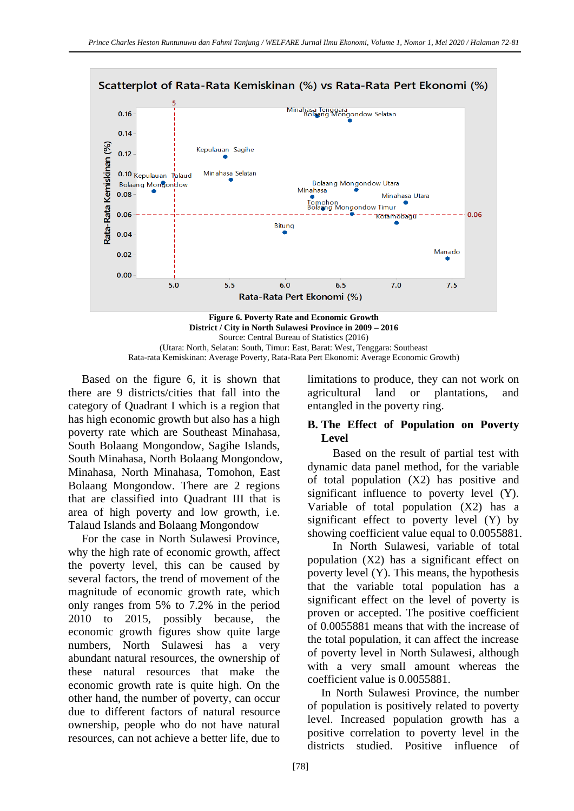

**District / City in North Sulawesi Province in 2009 – 2016** Source: Central Bureau of Statistics (2016) (Utara: North, Selatan: South, Timur: East, Barat: West, Tenggara: Southeast Rata-rata Kemiskinan: Average Poverty, Rata-Rata Pert Ekonomi: Average Economic Growth)

Based on the figure 6, it is shown that there are 9 districts/cities that fall into the category of Quadrant I which is a region that has high economic growth but also has a high poverty rate which are Southeast Minahasa, South Bolaang Mongondow, Sagihe Islands, South Minahasa, North Bolaang Mongondow, Minahasa, North Minahasa, Tomohon, East Bolaang Mongondow. There are 2 regions that are classified into Quadrant III that is area of high poverty and low growth, i.e. Talaud Islands and Bolaang Mongondow

For the case in North Sulawesi Province, why the high rate of economic growth, affect the poverty level, this can be caused by several factors, the trend of movement of the magnitude of economic growth rate, which only ranges from 5% to 7.2% in the period 2010 to 2015, possibly because, the economic growth figures show quite large numbers, North Sulawesi has a very abundant natural resources, the ownership of these natural resources that make the economic growth rate is quite high. On the other hand, the number of poverty, can occur due to different factors of natural resource ownership, people who do not have natural resources, can not achieve a better life, due to limitations to produce, they can not work on agricultural land or plantations, and entangled in the poverty ring.

#### **B. The Effect of Population on Poverty Level**

 Based on the result of partial test with dynamic data panel method, for the variable of total population (X2) has positive and significant influence to poverty level (Y). Variable of total population (X2) has a significant effect to poverty level (Y) by showing coefficient value equal to 0.0055881.

 In North Sulawesi, variable of total population (X2) has a significant effect on poverty level (Y). This means, the hypothesis that the variable total population has a significant effect on the level of poverty is proven or accepted. The positive coefficient of 0.0055881 means that with the increase of the total population, it can affect the increase of poverty level in North Sulawesi, although with a very small amount whereas the coefficient value is 0.0055881.

In North Sulawesi Province, the number of population is positively related to poverty level. Increased population growth has a positive correlation to poverty level in the districts studied. Positive influence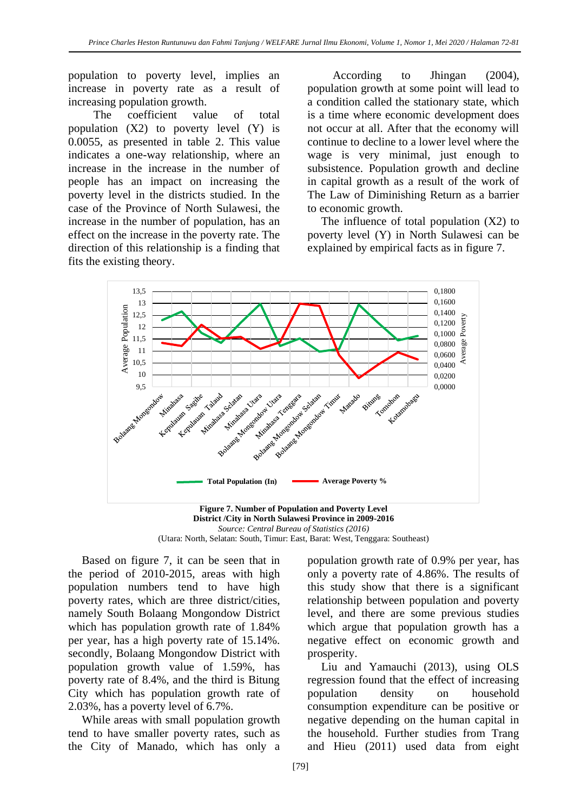population to poverty level, implies an increase in poverty rate as a result of increasing population growth.

 The coefficient value of total population (X2) to poverty level (Y) is 0.0055, as presented in table 2. This value indicates a one-way relationship, where an increase in the increase in the number of people has an impact on increasing the poverty level in the districts studied. In the case of the Province of North Sulawesi, the increase in the number of population, has an effect on the increase in the poverty rate. The direction of this relationship is a finding that fits the existing theory.

 According to Jhingan (2004), population growth at some point will lead to a condition called the stationary state, which is a time where economic development does not occur at all. After that the economy will continue to decline to a lower level where the wage is very minimal, just enough to subsistence. Population growth and decline in capital growth as a result of the work of The Law of Diminishing Return as a barrier to economic growth.

The influence of total population  $(X2)$  to poverty level (Y) in North Sulawesi can be explained by empirical facts as in figure 7.





Based on figure 7, it can be seen that in the period of 2010-2015, areas with high population numbers tend to have high poverty rates, which are three district/cities, namely South Bolaang Mongondow District which has population growth rate of 1.84% per year, has a high poverty rate of 15.14%. secondly, Bolaang Mongondow District with population growth value of 1.59%, has poverty rate of 8.4%, and the third is Bitung City which has population growth rate of 2.03%, has a poverty level of 6.7%.

While areas with small population growth tend to have smaller poverty rates, such as the City of Manado, which has only a

population growth rate of 0.9% per year, has only a poverty rate of 4.86%. The results of this study show that there is a significant relationship between population and poverty level, and there are some previous studies which argue that population growth has a negative effect on economic growth and prosperity.

Liu and Yamauchi (2013), using OLS regression found that the effect of increasing population density on household consumption expenditure can be positive or negative depending on the human capital in the household. Further studies from Trang and Hieu (2011) used data from eight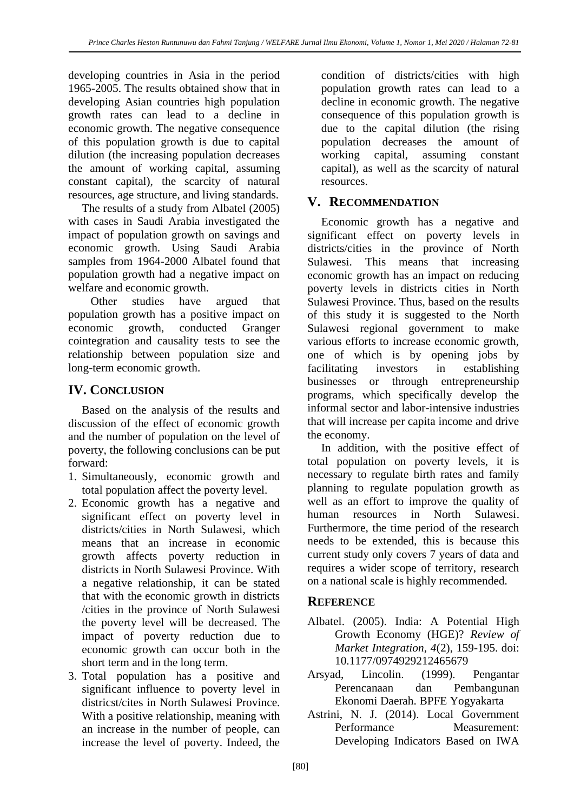developing countries in Asia in the period 1965-2005. The results obtained show that in developing Asian countries high population growth rates can lead to a decline in economic growth. The negative consequence of this population growth is due to capital dilution (the increasing population decreases the amount of working capital, assuming constant capital), the scarcity of natural resources, age structure, and living standards.

The results of a study from Albatel (2005) with cases in Saudi Arabia investigated the impact of population growth on savings and economic growth. Using Saudi Arabia samples from 1964-2000 Albatel found that population growth had a negative impact on welfare and economic growth.

 Other studies have argued that population growth has a positive impact on economic growth, conducted Granger cointegration and causality tests to see the relationship between population size and long-term economic growth.

# **IV. CONCLUSION**

Based on the analysis of the results and discussion of the effect of economic growth and the number of population on the level of poverty, the following conclusions can be put forward:

- 1. Simultaneously, economic growth and total population affect the poverty level.
- 2. Economic growth has a negative and significant effect on poverty level in districts/cities in North Sulawesi, which means that an increase in economic growth affects poverty reduction in districts in North Sulawesi Province. With a negative relationship, it can be stated that with the economic growth in districts /cities in the province of North Sulawesi the poverty level will be decreased. The impact of poverty reduction due to economic growth can occur both in the short term and in the long term.
- 3. Total population has a positive and significant influence to poverty level in districst/cites in North Sulawesi Province. With a positive relationship, meaning with an increase in the number of people, can increase the level of poverty. Indeed, the

condition of districts/cities with high population growth rates can lead to a decline in economic growth. The negative consequence of this population growth is due to the capital dilution (the rising population decreases the amount of working capital, assuming constant capital), as well as the scarcity of natural resources.

# **V. RECOMMENDATION**

Economic growth has a negative and significant effect on poverty levels in districts/cities in the province of North Sulawesi. This means that increasing economic growth has an impact on reducing poverty levels in districts cities in North Sulawesi Province. Thus, based on the results of this study it is suggested to the North Sulawesi regional government to make various efforts to increase economic growth, one of which is by opening jobs by facilitating investors in establishing businesses or through entrepreneurship programs, which specifically develop the informal sector and labor-intensive industries that will increase per capita income and drive the economy.

In addition, with the positive effect of total population on poverty levels, it is necessary to regulate birth rates and family planning to regulate population growth as well as an effort to improve the quality of human resources in North Sulawesi. Furthermore, the time period of the research needs to be extended, this is because this current study only covers 7 years of data and requires a wider scope of territory, research on a national scale is highly recommended.

# **REFERENCE**

- Albatel. (2005). India: A Potential High Growth Economy (HGE)? *Review of Market Integration, 4*(2), 159-195. doi: 10.1177/0974929212465679
- Arsyad, Lincolin. (1999). Pengantar Perencanaan dan Pembangunan Ekonomi Daerah. BPFE Yogyakarta
- Astrini, N. J. (2014). Local Government Performance Measurement: Developing Indicators Based on IWA